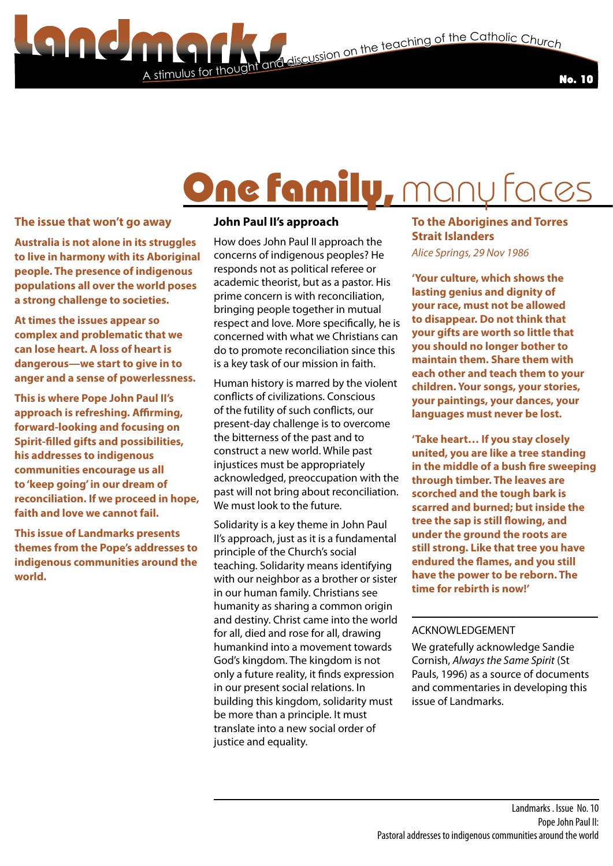and discussion on the teaching of the Catholic Church



## One family, mar

### **The issue that won't go away**

100

**Australia is not alone in its struggles to live in harmony with its Aboriginal people. The presence of indigenous populations all over the world poses a strong challenge to societies.**

**At times the issues appear so complex and problematic that we can lose heart. A loss of heart is dangerous—we start to give in to anger and a sense of powerlessness.**

**This is where Pope John Paul II's approach is refreshing. Affirming, forward-looking and focusing on Spirit-filled gifts and possibilities, his addresses to indigenous communities encourage us all to 'keep going' in our dream of reconciliation. If we proceed in hope, faith and love we cannot fail.**

**This issue of Landmarks presents themes from the Pope's addresses to indigenous communities around the world.**

### **John Paul II's approach**

A stimulus for thoug

How does John Paul II approach the concerns of indigenous peoples? He responds not as political referee or academic theorist, but as a pastor. His prime concern is with reconciliation, bringing people together in mutual respect and love. More specifically, he is concerned with what we Christians can do to promote reconciliation since this is a key task of our mission in faith.

Human history is marred by the violent conflicts of civilizations. Conscious of the futility of such conflicts, our present-day challenge is to overcome the bitterness of the past and to construct a new world. While past injustices must be appropriately acknowledged, preoccupation with the past will not bring about reconciliation. We must look to the future.

Solidarity is a key theme in John Paul II's approach, just as it is a fundamental principle of the Church's social teaching. Solidarity means identifying with our neighbor as a brother or sister in our human family. Christians see humanity as sharing a common origin and destiny. Christ came into the world for all, died and rose for all, drawing humankind into a movement towards God's kingdom. The kingdom is not only a future reality, it finds expression in our present social relations. In building this kingdom, solidarity must be more than a principle. It must translate into a new social order of justice and equality.

### **To the Aborigines and Torres Strait Islanders**

*Alice Springs, 29 Nov 1986*

**'Your culture, which shows the lasting genius and dignity of your race, must not be allowed to disappear. Do not think that your gifts are worth so little that you should no longer bother to maintain them. Share them with each other and teach them to your children. Your songs, your stories, your paintings, your dances, your languages must never be lost.**

**'Take heart… If you stay closely united, you are like a tree standing in the middle of a bush fire sweeping through timber. The leaves are scorched and the tough bark is scarred and burned; but inside the tree the sap is still flowing, and under the ground the roots are still strong. Like that tree you have endured the flames, and you still have the power to be reborn. The time for rebirth is now!'**

### ACKNOWLEDGEMENT

We gratefully acknowledge Sandie Cornish, *Always the Same Spirit* (St Pauls, 1996) as a source of documents and commentaries in developing this issue of Landmarks.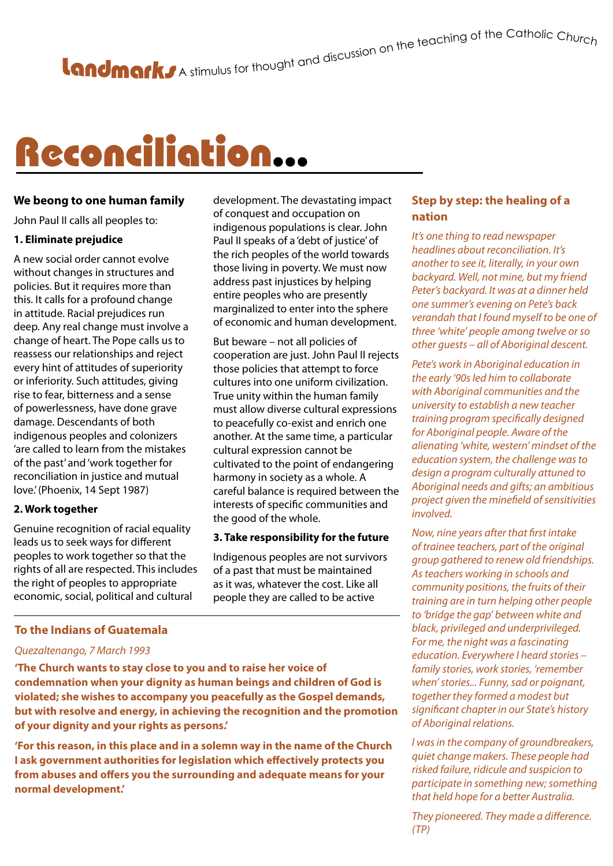## Reconciliation...

### **We beong to one human family**

John Paul II calls all peoples to:

### **1. Eliminate prejudice**

A new social order cannot evolve without changes in structures and policies. But it requires more than this. It calls for a profound change in attitude. Racial prejudices run deep. Any real change must involve a change of heart. The Pope calls us to reassess our relationships and reject every hint of attitudes of superiority or inferiority. Such attitudes, giving rise to fear, bitterness and a sense of powerlessness, have done grave damage. Descendants of both indigenous peoples and colonizers 'are called to learn from the mistakes of the past' and 'work together for reconciliation in justice and mutual love.' (Phoenix, 14 Sept 1987)

### **2. Work together**

Genuine recognition of racial equality leads us to seek ways for different peoples to work together so that the rights of all are respected. This includes the right of peoples to appropriate economic, social, political and cultural

### **To the Indians of Guatemala**

### *Quezaltenango, 7 March 1993*

**'The Church wants to stay close to you and to raise her voice of condemnation when your dignity as human beings and children of God is violated; she wishes to accompany you peacefully as the Gospel demands, but with resolve and energy, in achieving the recognition and the promotion of your dignity and your rights as persons.'**

**'For this reason, in this place and in a solemn way in the name of the Church I ask government authorities for legislation which effectively protects you from abuses and offers you the surrounding and adequate means for your normal development.'**

development. The devastating impact of conquest and occupation on indigenous populations is clear. John Paul II speaks of a 'debt of justice' of the rich peoples of the world towards those living in poverty. We must now address past injustices by helping entire peoples who are presently marginalized to enter into the sphere of economic and human development.

But beware – not all policies of cooperation are just. John Paul II rejects those policies that attempt to force cultures into one uniform civilization. True unity within the human family must allow diverse cultural expressions to peacefully co-exist and enrich one another. At the same time, a particular cultural expression cannot be cultivated to the point of endangering harmony in society as a whole. A careful balance is required between the interests of specific communities and the good of the whole.

### **3. Take responsibility for the future**

Indigenous peoples are not survivors of a past that must be maintained as it was, whatever the cost. Like all people they are called to be active

### **Step by step: the healing of a nation**

*It's one thing to read newspaper headlines about reconciliation. It's another to see it, literally, in your own backyard. Well, not mine, but my friend Peter's backyard. It was at a dinner held one summer's evening on Pete's back verandah that I found myself to be one of three 'white' people among twelve or so other guests – all of Aboriginal descent.*

*Pete's work in Aboriginal education in the early '90s led him to collaborate with Aboriginal communities and the university to establish a new teacher training program specifically designed for Aboriginal people. Aware of the alienating 'white, western' mindset of the education system, the challenge was to design a program culturally attuned to Aboriginal needs and gifts; an ambitious project given the minefield of sensitivities involved.*

*Now, nine years after that first intake of trainee teachers, part of the original group gathered to renew old friendships. As teachers working in schools and community positions, the fruits of their training are in turn helping other people to 'bridge the gap' between white and black, privileged and underprivileged. For me, the night was a fascinating education. Everywhere I heard stories – family stories, work stories, 'remember when' stories... Funny, sad or poignant, together they formed a modest but significant chapter in our State's history of Aboriginal relations.*

*I was in the company of groundbreakers, quiet change makers. These people had risked failure, ridicule and suspicion to participate in something new; something that held hope for a better Australia.* 

*They pioneered. They made a difference. (TP)*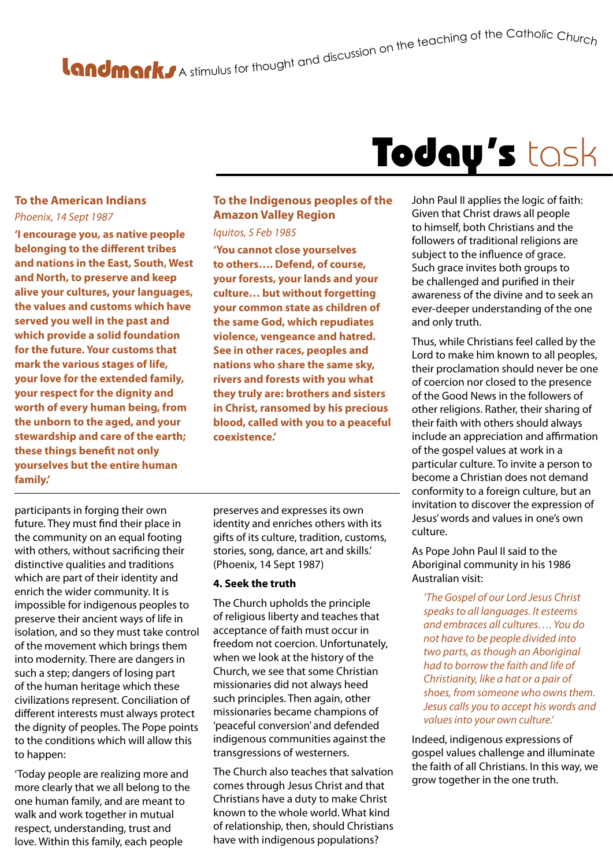# A stimulus for thought and discussion on the teaching of the Catholic Churc<sub>h</sub>

### Today's task

### **To the American Indians** *Phoenix, 14 Sept 1987*

**'I encourage you, as native people belonging to the different tribes and nations in the East, South, West and North, to preserve and keep alive your cultures, your languages, the values and customs which have served you well in the past and which provide a solid foundation for the future. Your customs that mark the various stages of life, your love for the extended family, your respect for the dignity and worth of every human being, from the unborn to the aged, and your stewardship and care of the earth; these things benefit not only yourselves but the entire human family.'**

### **To the Indigenous peoples of the Amazon Valley Region**

#### *Iquitos, 5 Feb 1985*

**'You cannot close yourselves to others…. Defend, of course, your forests, your lands and your culture… but without forgetting your common state as children of the same God, which repudiates violence, vengeance and hatred. See in other races, peoples and nations who share the same sky, rivers and forests with you what they truly are: brothers and sisters in Christ, ransomed by his precious blood, called with you to a peaceful coexistence.'**

participants in forging their own future. They must find their place in the community on an equal footing with others, without sacrificing their distinctive qualities and traditions which are part of their identity and enrich the wider community. It is impossible for indigenous peoples to preserve their ancient ways of life in isolation, and so they must take control of the movement which brings them into modernity. There are dangers in such a step; dangers of losing part of the human heritage which these civilizations represent. Conciliation of different interests must always protect the dignity of peoples. The Pope points to the conditions which will allow this to happen:

'Today people are realizing more and more clearly that we all belong to the one human family, and are meant to walk and work together in mutual respect, understanding, trust and love. Within this family, each people

preserves and expresses its own identity and enriches others with its gifts of its culture, tradition, customs, stories, song, dance, art and skills.' (Phoenix, 14 Sept 1987)

### **4. Seek the truth**

The Church upholds the principle of religious liberty and teaches that acceptance of faith must occur in freedom not coercion. Unfortunately, when we look at the history of the Church, we see that some Christian missionaries did not always heed such principles. Then again, other missionaries became champions of 'peaceful conversion' and defended indigenous communities against the transgressions of westerners.

The Church also teaches that salvation comes through Jesus Christ and that Christians have a duty to make Christ known to the whole world. What kind of relationship, then, should Christians have with indigenous populations?

John Paul II applies the logic of faith: Given that Christ draws all people to himself, both Christians and the followers of traditional religions are subject to the influence of grace. Such grace invites both groups to be challenged and purified in their awareness of the divine and to seek an ever-deeper understanding of the one and only truth.

Thus, while Christians feel called by the Lord to make him known to all peoples, their proclamation should never be one of coercion nor closed to the presence of the Good News in the followers of other religions. Rather, their sharing of their faith with others should always include an appreciation and affirmation of the gospel values at work in a particular culture. To invite a person to become a Christian does not demand conformity to a foreign culture, but an invitation to discover the expression of Jesus' words and values in one's own culture.

As Pope John Paul II said to the Aboriginal community in his 1986 Australian visit:

*'The Gospel of our Lord Jesus Christ speaks to all languages. It esteems and embraces all cultures…. You do not have to be people divided into two parts, as though an Aboriginal had to borrow the faith and life of Christianity, like a hat or a pair of shoes, from someone who owns them. Jesus calls you to accept his words and values into your own culture.'*

Indeed, indigenous expressions of gospel values challenge and illuminate the faith of all Christians. In this way, we grow together in the one truth.